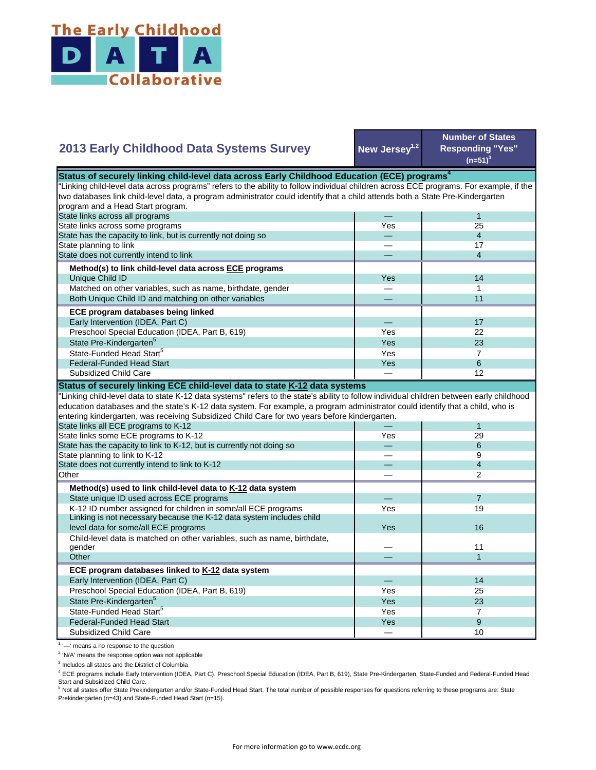

## **New Jersey1,2 Number of States Responding "Yes"**   $(n=51)^{3}$ — 1 Yes 25 — 4 — 17 — 4 Yes **I** 14 — 1 — 11 — 17 Yes **I** 22  $Yes$  23 Yes 7 State Pre-Kindergarten<sup>5</sup> State-Funded Head Start<sup>5</sup> Matched on other variables, such as name, birthdate, gender Both Unique Child ID and matching on other variables  **ECE program databases being linked**  Early Intervention (IDEA, Part C) Preschool Special Education (IDEA, Part B, 619) State has the capacity to link, but is currently not doing so State planning to link State does not currently intend to link  **Method(s) to link child-level data across ECE programs** Unique Child ID **2013 Early Childhood Data Systems Survey** Status of securely linking child-level data across Early Childhood Education (ECE) programs<sup>4</sup> "Linking child-level data across programs" refers to the ability to follow individual children across ECE programs. For example, if the two databases link child-level data, a program administrator could identify that a child attends both a State Pre-Kindergarten program and a Head Start program. State links across all programs State links across some programs  $Yes$  6 — 12 — 1 Yes 29 — 6 — 9 — 4 — 2 — 7 Yes **I** 19 Yes — 11 — 1 — 14 Yes I 25  $Yes$  23 Yes **I** 7 Yes a series of the series of the series of the series of the series of the series of the series of the series  $-$  10 Preschool Special Education (IDEA, Part B, 619) State Pre-Kindergarten<sup>5</sup> State-Funded Head Start<sup>5</sup> Federal-Funded Head Start Subsidized Child Care Child-level data is matched on other variables, such as name, birthdate, gender **Other ECE program databases linked to K-12 data system** Early Intervention (IDEA, Part C) **Other Method(s) used to link child-level data to K-12 data system** State unique ID used across ECE programs K-12 ID number assigned for children in some/all ECE programs Linking is not necessary because the K-12 data system includes child level data for some/all ECE programs 16 and 200 minutes and 200 minutes of the state of the state of the state of the state of the state of the state of the state of the state of the state of the state of the state of the "Linking child-level data to state K-12 data systems" refers to the state's ability to follow individual children between early childhood education databases and the state's K-12 data system. For example, a program administrator could identify that a child, who is entering kindergarten, was receiving Subsidized Child Care for two years before kindergarten. State links all ECE programs to K-12 State links some ECE programs to K-12 State has the capacity to link to K-12, but is currently not doing so State planning to link to K-12 State does not currently intend to link to K-12 Federal-Funded Head Start Subsidized Child Care **Status of securely linking ECE child-level data to state K-12 data systems**

<sup>1</sup> '-' means a no response to the question

<sup>2</sup> 'N/A' means the response option was not applicable

<sup>3</sup> Includes all states and the District of Columbia

<sup>4</sup> ECE programs include Early Intervention (IDEA, Part C), Preschool Special Education (IDEA, Part B, 619), State Pre-Kindergarten, State-Funded and Federal-Funded Head Start and Subsidized Child Care.

<sup>5</sup> Not all states offer State Prekindergarten and/or State-Funded Head Start. The total number of possible responses for questions referring to these programs are: State Prekindergarten (n=43) and State-Funded Head Start (n=15).